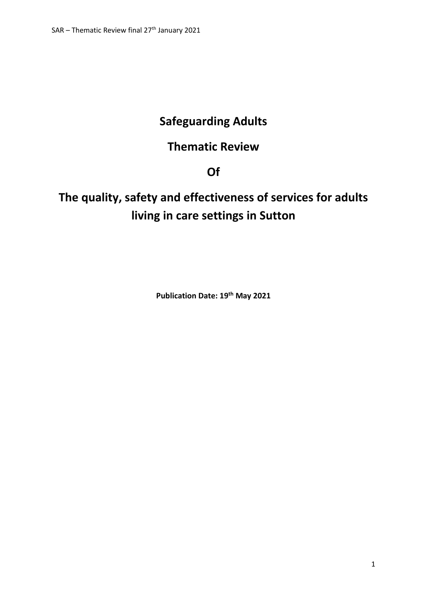# **Safeguarding Adults**

## **Thematic Review**

**Of**

# **The quality, safety and effectiveness of services for adults living in care settings in Sutton**

**Publication Date: 19th May 2021**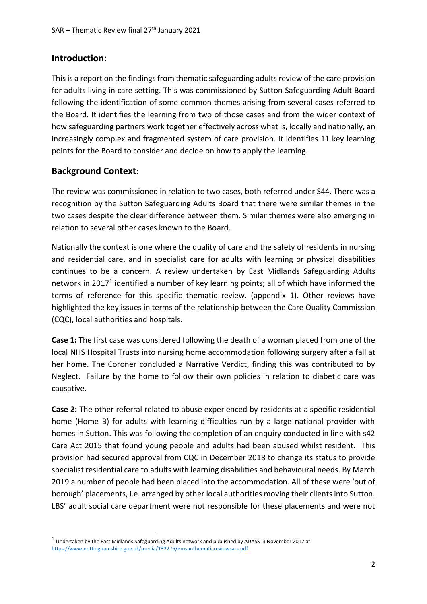## **Introduction:**

This is a report on the findings from thematic safeguarding adults review of the care provision for adults living in care setting. This was commissioned by Sutton Safeguarding Adult Board following the identification of some common themes arising from several cases referred to the Board. It identifies the learning from two of those cases and from the wider context of how safeguarding partners work together effectively across what is, locally and nationally, an increasingly complex and fragmented system of care provision. It identifies 11 key learning points for the Board to consider and decide on how to apply the learning.

## **Background Context**:

**.** 

The review was commissioned in relation to two cases, both referred under S44. There was a recognition by the Sutton Safeguarding Adults Board that there were similar themes in the two cases despite the clear difference between them. Similar themes were also emerging in relation to several other cases known to the Board.

Nationally the context is one where the quality of care and the safety of residents in nursing and residential care, and in specialist care for adults with learning or physical disabilities continues to be a concern. A review undertaken by East Midlands Safeguarding Adults network in 2017<sup>1</sup> identified a number of key learning points; all of which have informed the terms of reference for this specific thematic review. (appendix 1). Other reviews have highlighted the key issues in terms of the relationship between the Care Quality Commission (CQC), local authorities and hospitals.

**Case 1:** The first case was considered following the death of a woman placed from one of the local NHS Hospital Trusts into nursing home accommodation following surgery after a fall at her home. The Coroner concluded a Narrative Verdict, finding this was contributed to by Neglect. Failure by the home to follow their own policies in relation to diabetic care was causative.

**Case 2:** The other referral related to abuse experienced by residents at a specific residential home (Home B) for adults with learning difficulties run by a large national provider with homes in Sutton. This was following the completion of an enquiry conducted in line with s42 Care Act 2015 that found young people and adults had been abused whilst resident. This provision had secured approval from CQC in December 2018 to change its status to provide specialist residential care to adults with learning disabilities and behavioural needs. By March 2019 a number of people had been placed into the accommodation. All of these were 'out of borough' placements, i.e. arranged by other local authorities moving their clients into Sutton. LBS' adult social care department were not responsible for these placements and were not

 $^1$  Undertaken by the East Midlands Safeguarding Adults network and published by ADASS in November 2017 at: https://www.nottinghamshire.gov.uk/media/132275/emsanthematicreviewsars.pdf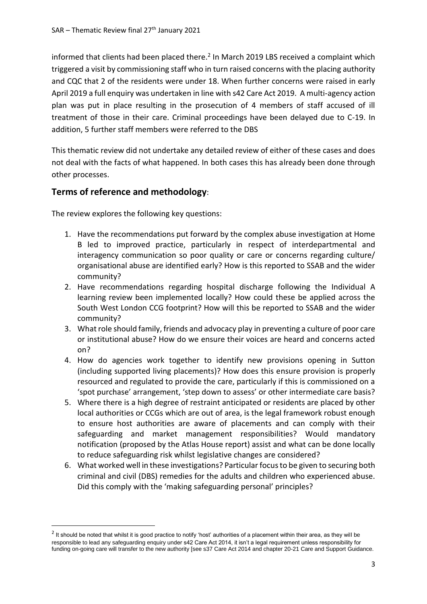informed that clients had been placed there.<sup>2</sup> In March 2019 LBS received a complaint which triggered a visit by commissioning staff who in turn raised concerns with the placing authority and CQC that 2 of the residents were under 18. When further concerns were raised in early April 2019 a full enquiry was undertaken in line with s42 Care Act 2019. A multi-agency action plan was put in place resulting in the prosecution of 4 members of staff accused of ill treatment of those in their care. Criminal proceedings have been delayed due to C-19. In addition, 5 further staff members were referred to the DBS

This thematic review did not undertake any detailed review of either of these cases and does not deal with the facts of what happened. In both cases this has already been done through other processes.

## **Terms of reference and methodology**:

 $\overline{a}$ 

The review explores the following key questions:

- 1. Have the recommendations put forward by the complex abuse investigation at Home B led to improved practice, particularly in respect of interdepartmental and interagency communication so poor quality or care or concerns regarding culture/ organisational abuse are identified early? How is this reported to SSAB and the wider community?
- 2. Have recommendations regarding hospital discharge following the Individual A learning review been implemented locally? How could these be applied across the South West London CCG footprint? How will this be reported to SSAB and the wider community?
- 3. What role should family, friends and advocacy play in preventing a culture of poor care or institutional abuse? How do we ensure their voices are heard and concerns acted on?
- 4. How do agencies work together to identify new provisions opening in Sutton (including supported living placements)? How does this ensure provision is properly resourced and regulated to provide the care, particularly if this is commissioned on a 'spot purchase' arrangement, 'step down to assess' or other intermediate care basis?
- 5. Where there is a high degree of restraint anticipated or residents are placed by other local authorities or CCGs which are out of area, is the legal framework robust enough to ensure host authorities are aware of placements and can comply with their safeguarding and market management responsibilities? Would mandatory notification (proposed by the Atlas House report) assist and what can be done locally to reduce safeguarding risk whilst legislative changes are considered?
- 6. What worked well in these investigations? Particular focus to be given to securing both criminal and civil (DBS) remedies for the adults and children who experienced abuse. Did this comply with the 'making safeguarding personal' principles?

 $^2$  It should be noted that whilst it is good practice to notify 'host' authorities of a placement within their area, as they will be responsible to lead any safeguarding enquiry under s42 Care Act 2014, it isn't a legal requirement unless responsibility for funding on-going care will transfer to the new authority [see s37 Care Act 2014 and chapter 20-21 Care and Support Guidance.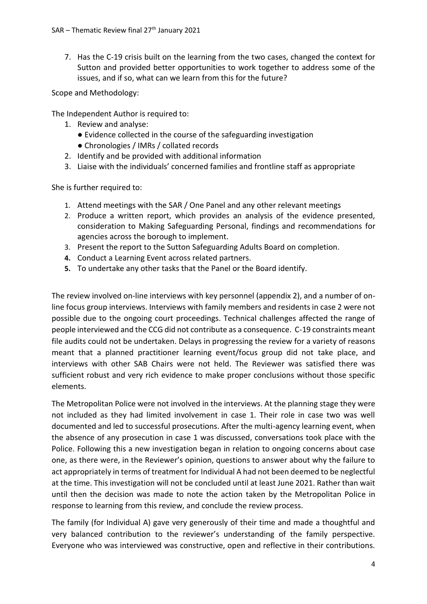7. Has the C-19 crisis built on the learning from the two cases, changed the context for Sutton and provided better opportunities to work together to address some of the issues, and if so, what can we learn from this for the future?

Scope and Methodology:

The Independent Author is required to:

- 1. Review and analyse:
	- Evidence collected in the course of the safeguarding investigation
	- Chronologies / IMRs / collated records
- 2. Identify and be provided with additional information
- 3. Liaise with the individuals' concerned families and frontline staff as appropriate

She is further required to:

- 1. Attend meetings with the SAR / One Panel and any other relevant meetings
- 2. Produce a written report, which provides an analysis of the evidence presented, consideration to Making Safeguarding Personal, findings and recommendations for agencies across the borough to implement.
- 3. Present the report to the Sutton Safeguarding Adults Board on completion.
- **4.** Conduct a Learning Event across related partners.
- **5.** To undertake any other tasks that the Panel or the Board identify.

The review involved on-line interviews with key personnel (appendix 2), and a number of online focus group interviews. Interviews with family members and residents in case 2 were not possible due to the ongoing court proceedings. Technical challenges affected the range of people interviewed and the CCG did not contribute as a consequence. C-19 constraints meant file audits could not be undertaken. Delays in progressing the review for a variety of reasons meant that a planned practitioner learning event/focus group did not take place, and interviews with other SAB Chairs were not held. The Reviewer was satisfied there was sufficient robust and very rich evidence to make proper conclusions without those specific elements.

The Metropolitan Police were not involved in the interviews. At the planning stage they were not included as they had limited involvement in case 1. Their role in case two was well documented and led to successful prosecutions. After the multi-agency learning event, when the absence of any prosecution in case 1 was discussed, conversations took place with the Police. Following this a new investigation began in relation to ongoing concerns about case one, as there were, in the Reviewer's opinion, questions to answer about why the failure to act appropriately in terms of treatment for Individual A had not been deemed to be neglectful at the time. This investigation will not be concluded until at least June 2021. Rather than wait until then the decision was made to note the action taken by the Metropolitan Police in response to learning from this review, and conclude the review process.

The family (for Individual A) gave very generously of their time and made a thoughtful and very balanced contribution to the reviewer's understanding of the family perspective. Everyone who was interviewed was constructive, open and reflective in their contributions.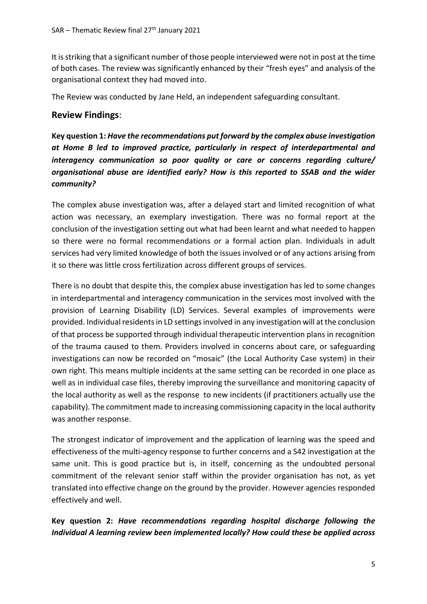It is striking that a significant number of those people interviewed were not in post at the time of both cases. The review was significantly enhanced by their "fresh eyes" and analysis of the organisational context they had moved into.

The Review was conducted by Jane Held, an independent safeguarding consultant.

## **Review Findings**:

**Key question 1:** *Have the recommendations put forward by the complex abuse investigation at Home B led to improved practice, particularly in respect of interdepartmental and interagency communication so poor quality or care or concerns regarding culture/ organisational abuse are identified early? How is this reported to SSAB and the wider community?*

The complex abuse investigation was, after a delayed start and limited recognition of what action was necessary, an exemplary investigation. There was no formal report at the conclusion of the investigation setting out what had been learnt and what needed to happen so there were no formal recommendations or a formal action plan. Individuals in adult services had very limited knowledge of both the issues involved or of any actions arising from it so there was little cross fertilization across different groups of services.

There is no doubt that despite this, the complex abuse investigation has led to some changes in interdepartmental and interagency communication in the services most involved with the provision of Learning Disability (LD) Services. Several examples of improvements were provided. Individual residents in LD settings involved in any investigation will at the conclusion of that process be supported through individual therapeutic intervention plans in recognition of the trauma caused to them. Providers involved in concerns about care, or safeguarding investigations can now be recorded on "mosaic" (the Local Authority Case system) in their own right. This means multiple incidents at the same setting can be recorded in one place as well as in individual case files, thereby improving the surveillance and monitoring capacity of the local authority as well as the response to new incidents (if practitioners actually use the capability). The commitment made to increasing commissioning capacity in the local authority was another response.

The strongest indicator of improvement and the application of learning was the speed and effectiveness of the multi-agency response to further concerns and a S42 investigation at the same unit. This is good practice but is, in itself, concerning as the undoubted personal commitment of the relevant senior staff within the provider organisation has not, as yet translated into effective change on the ground by the provider. However agencies responded effectively and well.

**Key question 2:** *Have recommendations regarding hospital discharge following the Individual A learning review been implemented locally? How could these be applied across*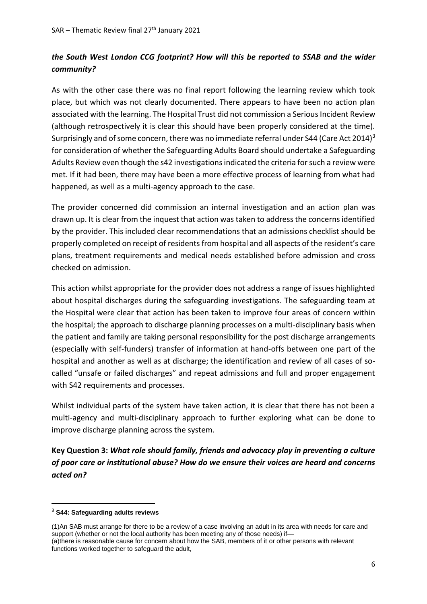## *the South West London CCG footprint? How will this be reported to SSAB and the wider community?*

As with the other case there was no final report following the learning review which took place, but which was not clearly documented. There appears to have been no action plan associated with the learning. The Hospital Trust did not commission a Serious Incident Review (although retrospectively it is clear this should have been properly considered at the time). Surprisingly and of some concern, there was no immediate referral under S44 (Care Act 2014)<sup>3</sup> for consideration of whether the Safeguarding Adults Board should undertake a Safeguarding Adults Review even though the s42 investigations indicated the criteria for such a review were met. If it had been, there may have been a more effective process of learning from what had happened, as well as a multi-agency approach to the case.

The provider concerned did commission an internal investigation and an action plan was drawn up. It is clear from the inquest that action was taken to address the concerns identified by the provider. This included clear recommendations that an admissions checklist should be properly completed on receipt of residents from hospital and all aspects of the resident's care plans, treatment requirements and medical needs established before admission and cross checked on admission.

This action whilst appropriate for the provider does not address a range of issues highlighted about hospital discharges during the safeguarding investigations. The safeguarding team at the Hospital were clear that action has been taken to improve four areas of concern within the hospital; the approach to discharge planning processes on a multi-disciplinary basis when the patient and family are taking personal responsibility for the post discharge arrangements (especially with self-funders) transfer of information at hand-offs between one part of the hospital and another as well as at discharge; the identification and review of all cases of socalled "unsafe or failed discharges" and repeat admissions and full and proper engagement with S42 requirements and processes.

Whilst individual parts of the system have taken action, it is clear that there has not been a multi-agency and multi-disciplinary approach to further exploring what can be done to improve discharge planning across the system.

**Key Question 3:** *What role should family, friends and advocacy play in preventing a culture of poor care or institutional abuse? How do we ensure their voices are heard and concerns acted on?* 

**.** 

<sup>3</sup> **S44: Safeguarding adults reviews**

<sup>(1)</sup>An SAB must arrange for there to be a review of a case involving an adult in its area with needs for care and support (whether or not the local authority has been meeting any of those needs) if— (a)there is reasonable cause for concern about how the SAB, members of it or other persons with relevant functions worked together to safeguard the adult,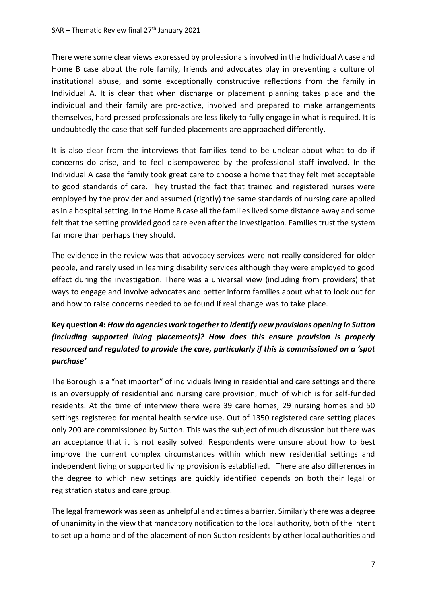There were some clear views expressed by professionals involved in the Individual A case and Home B case about the role family, friends and advocates play in preventing a culture of institutional abuse, and some exceptionally constructive reflections from the family in Individual A. It is clear that when discharge or placement planning takes place and the individual and their family are pro-active, involved and prepared to make arrangements themselves, hard pressed professionals are less likely to fully engage in what is required. It is undoubtedly the case that self-funded placements are approached differently.

It is also clear from the interviews that families tend to be unclear about what to do if concerns do arise, and to feel disempowered by the professional staff involved. In the Individual A case the family took great care to choose a home that they felt met acceptable to good standards of care. They trusted the fact that trained and registered nurses were employed by the provider and assumed (rightly) the same standards of nursing care applied as in a hospital setting. In the Home B case all the families lived some distance away and some felt that the setting provided good care even after the investigation. Families trust the system far more than perhaps they should.

The evidence in the review was that advocacy services were not really considered for older people, and rarely used in learning disability services although they were employed to good effect during the investigation. There was a universal view (including from providers) that ways to engage and involve advocates and better inform families about what to look out for and how to raise concerns needed to be found if real change was to take place.

## **Key question 4:** *How do agencies work together to identify new provisions opening in Sutton (including supported living placements)? How does this ensure provision is properly resourced and regulated to provide the care, particularly if this is commissioned on a 'spot purchase'*

The Borough is a "net importer" of individuals living in residential and care settings and there is an oversupply of residential and nursing care provision, much of which is for self-funded residents. At the time of interview there were 39 care homes, 29 nursing homes and 50 settings registered for mental health service use. Out of 1350 registered care setting places only 200 are commissioned by Sutton. This was the subject of much discussion but there was an acceptance that it is not easily solved. Respondents were unsure about how to best improve the current complex circumstances within which new residential settings and independent living or supported living provision is established. There are also differences in the degree to which new settings are quickly identified depends on both their legal or registration status and care group.

The legal framework was seen as unhelpful and at times a barrier. Similarly there was a degree of unanimity in the view that mandatory notification to the local authority, both of the intent to set up a home and of the placement of non Sutton residents by other local authorities and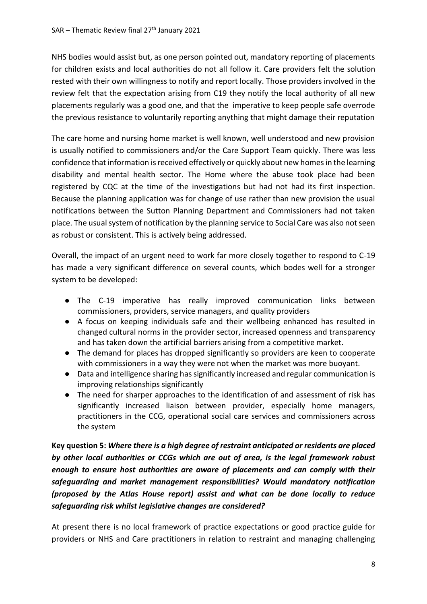NHS bodies would assist but, as one person pointed out, mandatory reporting of placements for children exists and local authorities do not all follow it. Care providers felt the solution rested with their own willingness to notify and report locally. Those providers involved in the review felt that the expectation arising from C19 they notify the local authority of all new placements regularly was a good one, and that the imperative to keep people safe overrode the previous resistance to voluntarily reporting anything that might damage their reputation

The care home and nursing home market is well known, well understood and new provision is usually notified to commissioners and/or the Care Support Team quickly. There was less confidence that information is received effectively or quickly about new homes in the learning disability and mental health sector. The Home where the abuse took place had been registered by CQC at the time of the investigations but had not had its first inspection. Because the planning application was for change of use rather than new provision the usual notifications between the Sutton Planning Department and Commissioners had not taken place. The usual system of notification by the planning service to Social Care was also not seen as robust or consistent. This is actively being addressed.

Overall, the impact of an urgent need to work far more closely together to respond to C-19 has made a very significant difference on several counts, which bodes well for a stronger system to be developed:

- The C-19 imperative has really improved communication links between commissioners, providers, service managers, and quality providers
- A focus on keeping individuals safe and their wellbeing enhanced has resulted in changed cultural norms in the provider sector, increased openness and transparency and has taken down the artificial barriers arising from a competitive market.
- The demand for places has dropped significantly so providers are keen to cooperate with commissioners in a way they were not when the market was more buoyant.
- Data and intelligence sharing has significantly increased and regular communication is improving relationships significantly
- The need for sharper approaches to the identification of and assessment of risk has significantly increased liaison between provider, especially home managers, practitioners in the CCG, operational social care services and commissioners across the system

**Key question 5:** *Where there is a high degree of restraint anticipated or residents are placed by other local authorities or CCGs which are out of area, is the legal framework robust enough to ensure host authorities are aware of placements and can comply with their safeguarding and market management responsibilities? Would mandatory notification (proposed by the Atlas House report) assist and what can be done locally to reduce safeguarding risk whilst legislative changes are considered?* 

At present there is no local framework of practice expectations or good practice guide for providers or NHS and Care practitioners in relation to restraint and managing challenging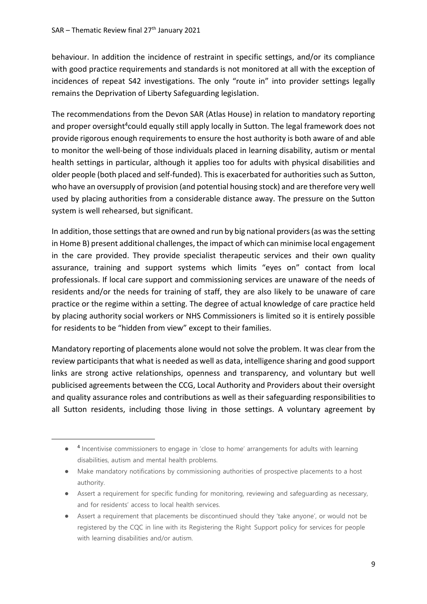**.** 

behaviour. In addition the incidence of restraint in specific settings, and/or its compliance with good practice requirements and standards is not monitored at all with the exception of incidences of repeat S42 investigations. The only "route in" into provider settings legally remains the Deprivation of Liberty Safeguarding legislation.

The recommendations from the Devon SAR (Atlas House) in relation to mandatory reporting and proper oversight<sup>4</sup>could equally still apply locally in Sutton. The legal framework does not provide rigorous enough requirements to ensure the host authority is both aware of and able to monitor the well-being of those individuals placed in learning disability, autism or mental health settings in particular, although it applies too for adults with physical disabilities and older people (both placed and self-funded). This is exacerbated for authorities such as Sutton, who have an oversupply of provision (and potential housing stock) and are therefore very well used by placing authorities from a considerable distance away. The pressure on the Sutton system is well rehearsed, but significant.

In addition, those settings that are owned and run by big national providers (as was the setting in Home B) present additional challenges, the impact of which can minimise local engagement in the care provided. They provide specialist therapeutic services and their own quality assurance, training and support systems which limits "eyes on" contact from local professionals. If local care support and commissioning services are unaware of the needs of residents and/or the needs for training of staff, they are also likely to be unaware of care practice or the regime within a setting. The degree of actual knowledge of care practice held by placing authority social workers or NHS Commissioners is limited so it is entirely possible for residents to be "hidden from view" except to their families.

Mandatory reporting of placements alone would not solve the problem. It was clear from the review participants that what is needed as well as data, intelligence sharing and good support links are strong active relationships, openness and transparency, and voluntary but well publicised agreements between the CCG, Local Authority and Providers about their oversight and quality assurance roles and contributions as well as their safeguarding responsibilities to all Sutton residents, including those living in those settings. A voluntary agreement by

- Assert a requirement for specific funding for monitoring, reviewing and safeguarding as necessary, and for residents' access to local health services.
- Assert a requirement that placements be discontinued should they 'take anyone', or would not be registered by the CQC in line with its Registering the Right Support policy for services for people with learning disabilities and/or autism.

<sup>● &</sup>lt;sup>4</sup> Incentivise commissioners to engage in 'close to home' arrangements for adults with learning disabilities, autism and mental health problems.

<sup>●</sup> Make mandatory notifications by commissioning authorities of prospective placements to a host authority.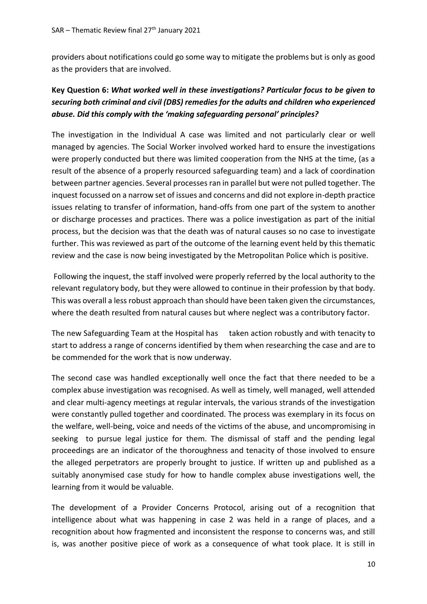providers about notifications could go some way to mitigate the problems but is only as good as the providers that are involved.

## **Key Question 6:** *What worked well in these investigations? Particular focus to be given to securing both criminal and civil (DBS) remedies for the adults and children who experienced abuse. Did this comply with the 'making safeguarding personal' principles?*

The investigation in the Individual A case was limited and not particularly clear or well managed by agencies. The Social Worker involved worked hard to ensure the investigations were properly conducted but there was limited cooperation from the NHS at the time, (as a result of the absence of a properly resourced safeguarding team) and a lack of coordination between partner agencies. Several processes ran in parallel but were not pulled together. The inquest focussed on a narrow set of issues and concerns and did not explore in-depth practice issues relating to transfer of information, hand-offs from one part of the system to another or discharge processes and practices. There was a police investigation as part of the initial process, but the decision was that the death was of natural causes so no case to investigate further. This was reviewed as part of the outcome of the learning event held by this thematic review and the case is now being investigated by the Metropolitan Police which is positive.

Following the inquest, the staff involved were properly referred by the local authority to the relevant regulatory body, but they were allowed to continue in their profession by that body. This was overall a less robust approach than should have been taken given the circumstances, where the death resulted from natural causes but where neglect was a contributory factor.

The new Safeguarding Team at the Hospital has taken action robustly and with tenacity to start to address a range of concerns identified by them when researching the case and are to be commended for the work that is now underway.

The second case was handled exceptionally well once the fact that there needed to be a complex abuse investigation was recognised. As well as timely, well managed, well attended and clear multi-agency meetings at regular intervals, the various strands of the investigation were constantly pulled together and coordinated. The process was exemplary in its focus on the welfare, well-being, voice and needs of the victims of the abuse, and uncompromising in seeking to pursue legal justice for them. The dismissal of staff and the pending legal proceedings are an indicator of the thoroughness and tenacity of those involved to ensure the alleged perpetrators are properly brought to justice. If written up and published as a suitably anonymised case study for how to handle complex abuse investigations well, the learning from it would be valuable.

The development of a Provider Concerns Protocol, arising out of a recognition that intelligence about what was happening in case 2 was held in a range of places, and a recognition about how fragmented and inconsistent the response to concerns was, and still is, was another positive piece of work as a consequence of what took place. It is still in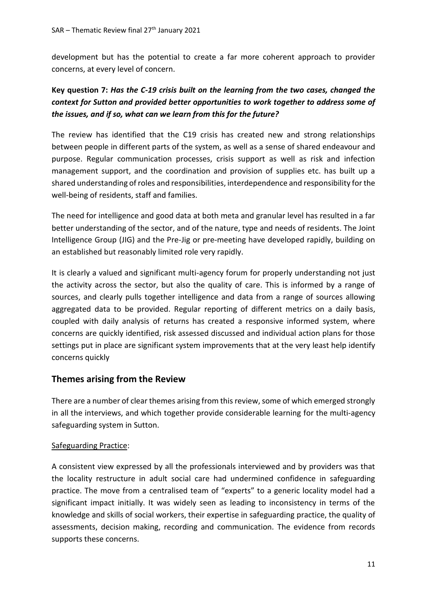development but has the potential to create a far more coherent approach to provider concerns, at every level of concern.

## **Key question 7:** *Has the C-19 crisis built on the learning from the two cases, changed the context for Sutton and provided better opportunities to work together to address some of the issues, and if so, what can we learn from this for the future?*

The review has identified that the C19 crisis has created new and strong relationships between people in different parts of the system, as well as a sense of shared endeavour and purpose. Regular communication processes, crisis support as well as risk and infection management support, and the coordination and provision of supplies etc. has built up a shared understanding of roles and responsibilities, interdependence and responsibility for the well-being of residents, staff and families.

The need for intelligence and good data at both meta and granular level has resulted in a far better understanding of the sector, and of the nature, type and needs of residents. The Joint Intelligence Group (JIG) and the Pre-Jig or pre-meeting have developed rapidly, building on an established but reasonably limited role very rapidly.

It is clearly a valued and significant multi-agency forum for properly understanding not just the activity across the sector, but also the quality of care. This is informed by a range of sources, and clearly pulls together intelligence and data from a range of sources allowing aggregated data to be provided. Regular reporting of different metrics on a daily basis, coupled with daily analysis of returns has created a responsive informed system, where concerns are quickly identified, risk assessed discussed and individual action plans for those settings put in place are significant system improvements that at the very least help identify concerns quickly

## **Themes arising from the Review**

There are a number of clear themes arising from this review, some of which emerged strongly in all the interviews, and which together provide considerable learning for the multi-agency safeguarding system in Sutton.

#### Safeguarding Practice:

A consistent view expressed by all the professionals interviewed and by providers was that the locality restructure in adult social care had undermined confidence in safeguarding practice. The move from a centralised team of "experts" to a generic locality model had a significant impact initially. It was widely seen as leading to inconsistency in terms of the knowledge and skills of social workers, their expertise in safeguarding practice, the quality of assessments, decision making, recording and communication. The evidence from records supports these concerns.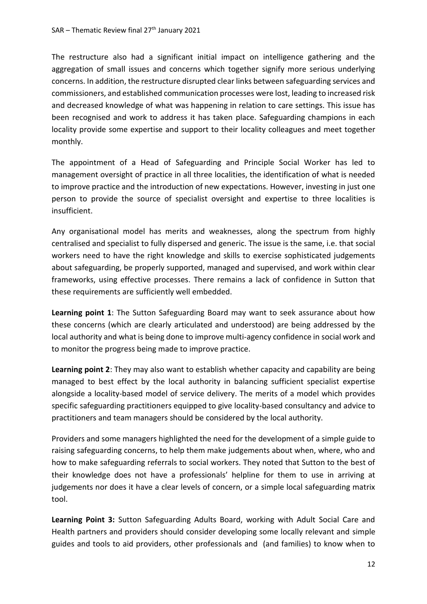The restructure also had a significant initial impact on intelligence gathering and the aggregation of small issues and concerns which together signify more serious underlying concerns. In addition, the restructure disrupted clear links between safeguarding services and commissioners, and established communication processes were lost, leading to increased risk and decreased knowledge of what was happening in relation to care settings. This issue has been recognised and work to address it has taken place. Safeguarding champions in each locality provide some expertise and support to their locality colleagues and meet together monthly.

The appointment of a Head of Safeguarding and Principle Social Worker has led to management oversight of practice in all three localities, the identification of what is needed to improve practice and the introduction of new expectations. However, investing in just one person to provide the source of specialist oversight and expertise to three localities is insufficient.

Any organisational model has merits and weaknesses, along the spectrum from highly centralised and specialist to fully dispersed and generic. The issue is the same, i.e. that social workers need to have the right knowledge and skills to exercise sophisticated judgements about safeguarding, be properly supported, managed and supervised, and work within clear frameworks, using effective processes. There remains a lack of confidence in Sutton that these requirements are sufficiently well embedded.

**Learning point 1**: The Sutton Safeguarding Board may want to seek assurance about how these concerns (which are clearly articulated and understood) are being addressed by the local authority and what is being done to improve multi-agency confidence in social work and to monitor the progress being made to improve practice.

**Learning point 2**: They may also want to establish whether capacity and capability are being managed to best effect by the local authority in balancing sufficient specialist expertise alongside a locality-based model of service delivery. The merits of a model which provides specific safeguarding practitioners equipped to give locality-based consultancy and advice to practitioners and team managers should be considered by the local authority.

Providers and some managers highlighted the need for the development of a simple guide to raising safeguarding concerns, to help them make judgements about when, where, who and how to make safeguarding referrals to social workers. They noted that Sutton to the best of their knowledge does not have a professionals' helpline for them to use in arriving at judgements nor does it have a clear levels of concern, or a simple local safeguarding matrix tool.

**Learning Point 3:** Sutton Safeguarding Adults Board, working with Adult Social Care and Health partners and providers should consider developing some locally relevant and simple guides and tools to aid providers, other professionals and (and families) to know when to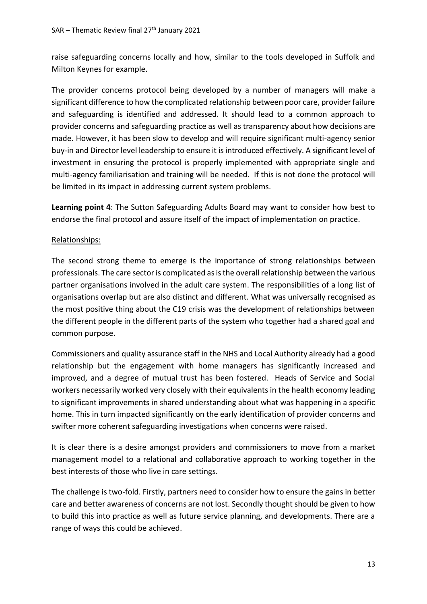raise safeguarding concerns locally and how, similar to the tools developed in Suffolk and Milton Keynes for example.

The provider concerns protocol being developed by a number of managers will make a significant difference to how the complicated relationship between poor care, provider failure and safeguarding is identified and addressed. It should lead to a common approach to provider concerns and safeguarding practice as well as transparency about how decisions are made. However, it has been slow to develop and will require significant multi-agency senior buy-in and Director level leadership to ensure it is introduced effectively. A significant level of investment in ensuring the protocol is properly implemented with appropriate single and multi-agency familiarisation and training will be needed. If this is not done the protocol will be limited in its impact in addressing current system problems.

**Learning point 4**: The Sutton Safeguarding Adults Board may want to consider how best to endorse the final protocol and assure itself of the impact of implementation on practice.

#### Relationships:

The second strong theme to emerge is the importance of strong relationships between professionals. The care sector is complicated as is the overall relationship between the various partner organisations involved in the adult care system. The responsibilities of a long list of organisations overlap but are also distinct and different. What was universally recognised as the most positive thing about the C19 crisis was the development of relationships between the different people in the different parts of the system who together had a shared goal and common purpose.

Commissioners and quality assurance staff in the NHS and Local Authority already had a good relationship but the engagement with home managers has significantly increased and improved, and a degree of mutual trust has been fostered. Heads of Service and Social workers necessarily worked very closely with their equivalents in the health economy leading to significant improvements in shared understanding about what was happening in a specific home. This in turn impacted significantly on the early identification of provider concerns and swifter more coherent safeguarding investigations when concerns were raised.

It is clear there is a desire amongst providers and commissioners to move from a market management model to a relational and collaborative approach to working together in the best interests of those who live in care settings.

The challenge is two-fold. Firstly, partners need to consider how to ensure the gains in better care and better awareness of concerns are not lost. Secondly thought should be given to how to build this into practice as well as future service planning, and developments. There are a range of ways this could be achieved.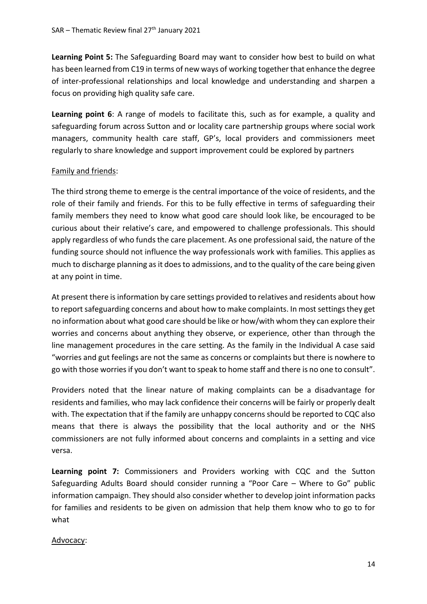**Learning Point 5:** The Safeguarding Board may want to consider how best to build on what has been learned from C19 in terms of new ways of working together that enhance the degree of inter-professional relationships and local knowledge and understanding and sharpen a focus on providing high quality safe care.

**Learning point 6**: A range of models to facilitate this, such as for example, a quality and safeguarding forum across Sutton and or locality care partnership groups where social work managers, community health care staff, GP's, local providers and commissioners meet regularly to share knowledge and support improvement could be explored by partners

#### Family and friends:

The third strong theme to emerge is the central importance of the voice of residents, and the role of their family and friends. For this to be fully effective in terms of safeguarding their family members they need to know what good care should look like, be encouraged to be curious about their relative's care, and empowered to challenge professionals. This should apply regardless of who funds the care placement. As one professional said, the nature of the funding source should not influence the way professionals work with families. This applies as much to discharge planning as it does to admissions, and to the quality of the care being given at any point in time.

At present there is information by care settings provided to relatives and residents about how to report safeguarding concerns and about how to make complaints. In most settings they get no information about what good care should be like or how/with whom they can explore their worries and concerns about anything they observe, or experience, other than through the line management procedures in the care setting. As the family in the Individual A case said "worries and gut feelings are not the same as concerns or complaints but there is nowhere to go with those worries if you don't want to speak to home staff and there is no one to consult".

Providers noted that the linear nature of making complaints can be a disadvantage for residents and families, who may lack confidence their concerns will be fairly or properly dealt with. The expectation that if the family are unhappy concerns should be reported to CQC also means that there is always the possibility that the local authority and or the NHS commissioners are not fully informed about concerns and complaints in a setting and vice versa.

**Learning point 7:** Commissioners and Providers working with CQC and the Sutton Safeguarding Adults Board should consider running a "Poor Care – Where to Go" public information campaign. They should also consider whether to develop joint information packs for families and residents to be given on admission that help them know who to go to for what

#### Advocacy: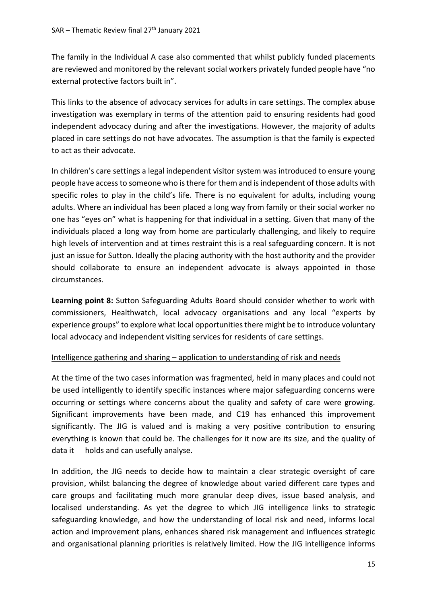The family in the Individual A case also commented that whilst publicly funded placements are reviewed and monitored by the relevant social workers privately funded people have "no external protective factors built in".

This links to the absence of advocacy services for adults in care settings. The complex abuse investigation was exemplary in terms of the attention paid to ensuring residents had good independent advocacy during and after the investigations. However, the majority of adults placed in care settings do not have advocates. The assumption is that the family is expected to act as their advocate.

In children's care settings a legal independent visitor system was introduced to ensure young people have access to someone who is there for them and is independent of those adults with specific roles to play in the child's life. There is no equivalent for adults, including young adults. Where an individual has been placed a long way from family or their social worker no one has "eyes on" what is happening for that individual in a setting. Given that many of the individuals placed a long way from home are particularly challenging, and likely to require high levels of intervention and at times restraint this is a real safeguarding concern. It is not just an issue for Sutton. Ideally the placing authority with the host authority and the provider should collaborate to ensure an independent advocate is always appointed in those circumstances.

**Learning point 8:** Sutton Safeguarding Adults Board should consider whether to work with commissioners, Healthwatch, local advocacy organisations and any local "experts by experience groups" to explore what local opportunities there might be to introduce voluntary local advocacy and independent visiting services for residents of care settings.

#### Intelligence gathering and sharing – application to understanding of risk and needs

At the time of the two cases information was fragmented, held in many places and could not be used intelligently to identify specific instances where major safeguarding concerns were occurring or settings where concerns about the quality and safety of care were growing. Significant improvements have been made, and C19 has enhanced this improvement significantly. The JIG is valued and is making a very positive contribution to ensuring everything is known that could be. The challenges for it now are its size, and the quality of data it holds and can usefully analyse.

In addition, the JIG needs to decide how to maintain a clear strategic oversight of care provision, whilst balancing the degree of knowledge about varied different care types and care groups and facilitating much more granular deep dives, issue based analysis, and localised understanding. As yet the degree to which JIG intelligence links to strategic safeguarding knowledge, and how the understanding of local risk and need, informs local action and improvement plans, enhances shared risk management and influences strategic and organisational planning priorities is relatively limited. How the JIG intelligence informs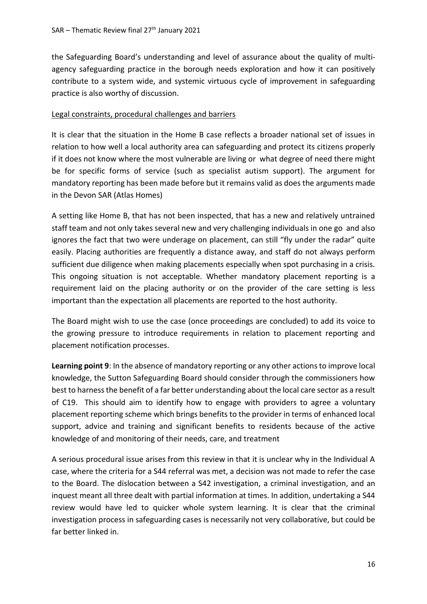the Safeguarding Board's understanding and level of assurance about the quality of multiagency safeguarding practice in the borough needs exploration and how it can positively contribute to a system wide, and systemic virtuous cycle of improvement in safeguarding practice is also worthy of discussion.

#### Legal constraints, procedural challenges and barriers

It is clear that the situation in the Home B case reflects a broader national set of issues in relation to how well a local authority area can safeguarding and protect its citizens properly if it does not know where the most vulnerable are living or what degree of need there might be for specific forms of service (such as specialist autism support). The argument for mandatory reporting has been made before but it remains valid as does the arguments made in the Devon SAR (Atlas Homes)

A setting like Home B, that has not been inspected, that has a new and relatively untrained staff team and not only takes several new and very challenging individuals in one go and also ignores the fact that two were underage on placement, can still "fly under the radar" quite easily. Placing authorities are frequently a distance away, and staff do not always perform sufficient due diligence when making placements especially when spot purchasing in a crisis. This ongoing situation is not acceptable. Whether mandatory placement reporting is a requirement laid on the placing authority or on the provider of the care setting is less important than the expectation all placements are reported to the host authority.

The Board might wish to use the case (once proceedings are concluded) to add its voice to the growing pressure to introduce requirements in relation to placement reporting and placement notification processes.

**Learning point 9**: In the absence of mandatory reporting or any other actions to improve local knowledge, the Sutton Safeguarding Board should consider through the commissioners how best to harness the benefit of a far better understanding about the local care sector as a result of C19. This should aim to identify how to engage with providers to agree a voluntary placement reporting scheme which brings benefits to the provider in terms of enhanced local support, advice and training and significant benefits to residents because of the active knowledge of and monitoring of their needs, care, and treatment

A serious procedural issue arises from this review in that it is unclear why in the Individual A case, where the criteria for a S44 referral was met, a decision was not made to refer the case to the Board. The dislocation between a S42 investigation, a criminal investigation, and an inquest meant all three dealt with partial information at times. In addition, undertaking a S44 review would have led to quicker whole system learning. It is clear that the criminal investigation process in safeguarding cases is necessarily not very collaborative, but could be far better linked in.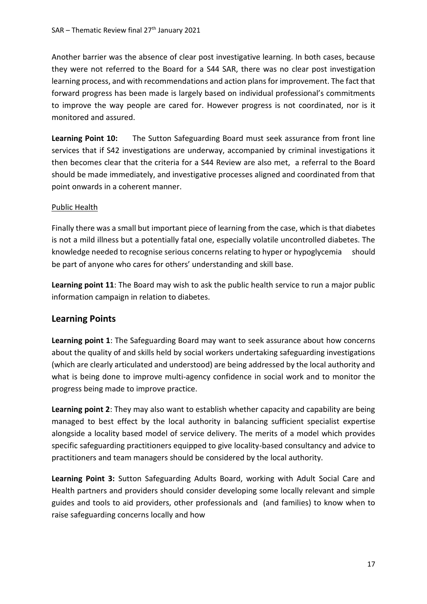Another barrier was the absence of clear post investigative learning. In both cases, because they were not referred to the Board for a S44 SAR, there was no clear post investigation learning process, and with recommendations and action plans for improvement. The fact that forward progress has been made is largely based on individual professional's commitments to improve the way people are cared for. However progress is not coordinated, nor is it monitored and assured.

**Learning Point 10:** The Sutton Safeguarding Board must seek assurance from front line services that if S42 investigations are underway, accompanied by criminal investigations it then becomes clear that the criteria for a S44 Review are also met, a referral to the Board should be made immediately, and investigative processes aligned and coordinated from that point onwards in a coherent manner.

#### Public Health

Finally there was a small but important piece of learning from the case, which is that diabetes is not a mild illness but a potentially fatal one, especially volatile uncontrolled diabetes. The knowledge needed to recognise serious concerns relating to hyper or hypoglycemia should be part of anyone who cares for others' understanding and skill base.

**Learning point 11**: The Board may wish to ask the public health service to run a major public information campaign in relation to diabetes.

#### **Learning Points**

**Learning point 1**: The Safeguarding Board may want to seek assurance about how concerns about the quality of and skills held by social workers undertaking safeguarding investigations (which are clearly articulated and understood) are being addressed by the local authority and what is being done to improve multi-agency confidence in social work and to monitor the progress being made to improve practice.

**Learning point 2**: They may also want to establish whether capacity and capability are being managed to best effect by the local authority in balancing sufficient specialist expertise alongside a locality based model of service delivery. The merits of a model which provides specific safeguarding practitioners equipped to give locality-based consultancy and advice to practitioners and team managers should be considered by the local authority.

**Learning Point 3:** Sutton Safeguarding Adults Board, working with Adult Social Care and Health partners and providers should consider developing some locally relevant and simple guides and tools to aid providers, other professionals and (and families) to know when to raise safeguarding concerns locally and how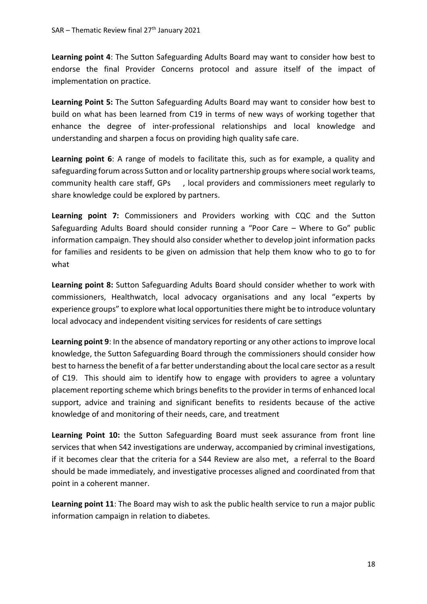**Learning point 4**: The Sutton Safeguarding Adults Board may want to consider how best to endorse the final Provider Concerns protocol and assure itself of the impact of implementation on practice.

**Learning Point 5:** The Sutton Safeguarding Adults Board may want to consider how best to build on what has been learned from C19 in terms of new ways of working together that enhance the degree of inter-professional relationships and local knowledge and understanding and sharpen a focus on providing high quality safe care.

**Learning point 6**: A range of models to facilitate this, such as for example, a quality and safeguarding forum across Sutton and or locality partnership groups where social work teams, community health care staff, GPs , local providers and commissioners meet regularly to share knowledge could be explored by partners.

**Learning point 7:** Commissioners and Providers working with CQC and the Sutton Safeguarding Adults Board should consider running a "Poor Care – Where to Go" public information campaign. They should also consider whether to develop joint information packs for families and residents to be given on admission that help them know who to go to for what

**Learning point 8:** Sutton Safeguarding Adults Board should consider whether to work with commissioners, Healthwatch, local advocacy organisations and any local "experts by experience groups" to explore what local opportunities there might be to introduce voluntary local advocacy and independent visiting services for residents of care settings

**Learning point 9**: In the absence of mandatory reporting or any other actions to improve local knowledge, the Sutton Safeguarding Board through the commissioners should consider how best to harness the benefit of a far better understanding about the local care sector as a result of C19. This should aim to identify how to engage with providers to agree a voluntary placement reporting scheme which brings benefits to the provider in terms of enhanced local support, advice and training and significant benefits to residents because of the active knowledge of and monitoring of their needs, care, and treatment

Learning Point 10: the Sutton Safeguarding Board must seek assurance from front line services that when S42 investigations are underway, accompanied by criminal investigations, if it becomes clear that the criteria for a S44 Review are also met, a referral to the Board should be made immediately, and investigative processes aligned and coordinated from that point in a coherent manner.

**Learning point 11**: The Board may wish to ask the public health service to run a major public information campaign in relation to diabetes.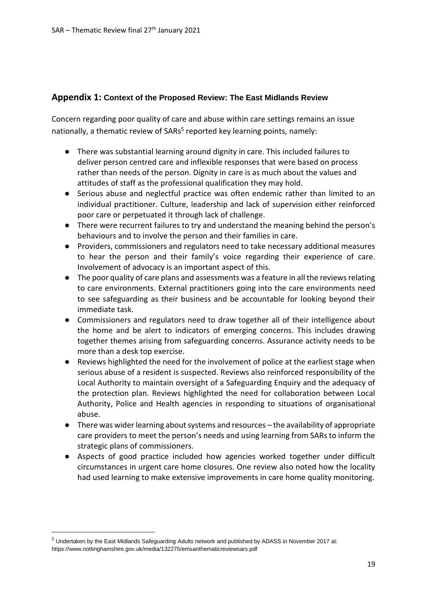### **Appendix 1: Context of the Proposed Review: The East Midlands Review**

Concern regarding poor quality of care and abuse within care settings remains an issue nationally, a thematic review of SARs<sup>5</sup> reported key learning points, namely:

- There was substantial learning around dignity in care. This included failures to deliver person centred care and inflexible responses that were based on process rather than needs of the person. Dignity in care is as much about the values and attitudes of staff as the professional qualification they may hold.
- Serious abuse and neglectful practice was often endemic rather than limited to an individual practitioner. Culture, leadership and lack of supervision either reinforced poor care or perpetuated it through lack of challenge.
- There were recurrent failures to try and understand the meaning behind the person's behaviours and to involve the person and their families in care.
- Providers, commissioners and regulators need to take necessary additional measures to hear the person and their family's voice regarding their experience of care. Involvement of advocacy is an important aspect of this.
- The poor quality of care plans and assessments was a feature in all the reviews relating to care environments. External practitioners going into the care environments need to see safeguarding as their business and be accountable for looking beyond their immediate task.
- Commissioners and regulators need to draw together all of their intelligence about the home and be alert to indicators of emerging concerns. This includes drawing together themes arising from safeguarding concerns. Assurance activity needs to be more than a desk top exercise.
- Reviews highlighted the need for the involvement of police at the earliest stage when serious abuse of a resident is suspected. Reviews also reinforced responsibility of the Local Authority to maintain oversight of a Safeguarding Enquiry and the adequacy of the protection plan. Reviews highlighted the need for collaboration between Local Authority, Police and Health agencies in responding to situations of organisational abuse.
- There was wider learning about systems and resources the availability of appropriate care providers to meet the person's needs and using learning from SARs to inform the strategic plans of commissioners.
- Aspects of good practice included how agencies worked together under difficult circumstances in urgent care home closures. One review also noted how the locality had used learning to make extensive improvements in care home quality monitoring.

**.** 

<sup>5</sup> Undertaken by the East Midlands Safeguarding Adults network and published by ADASS in November 2017 at: https://www.nottinghamshire.gov.uk/media/132275/emsanthematicreviewsars.pdf